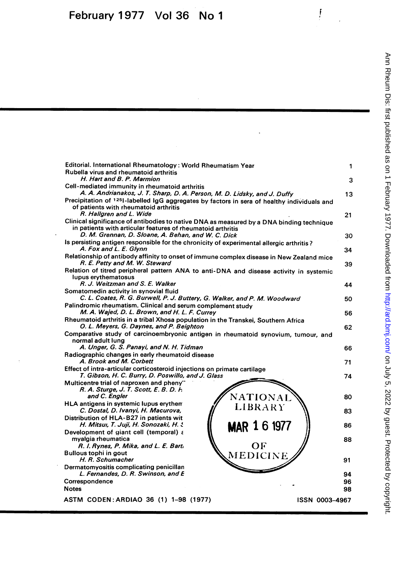| Editorial. International Rheumatology: World Rheumatism Year<br>Rubella virus and rheumatoid arthritis                                             | 1              |
|----------------------------------------------------------------------------------------------------------------------------------------------------|----------------|
| H. Hart and B. P. Marmion                                                                                                                          | 3              |
| Cell-mediated immunity in rheumatoid arthritis<br>A. A. Andrianakos, J. T. Sharp, D. A. Person, M. D. Lidsky, and J. Duffy                         | 13             |
| Precipitation of 1251-labelled IgG aggregates by factors in sera of healthy individuals and<br>of patients with rheumatoid arthritis               |                |
| R. Hallgren and L. Wide<br>Clinical significance of antibodies to native DNA as measured by a DNA binding technique                                | 21             |
| in patients with articular features of rheumatoid arthritis<br>D. M. Grennan, D. Sloane, A. Behan, and W. C. Dick                                  | 30             |
| Is persisting antigen responsible for the chronicity of experimental allergic arthritis?<br>A. Fox and L. E. Glynn                                 | 34             |
| Relationship of antibody affinity to onset of immune complex disease in New Zealand mice<br>R. E. Petty and M. W. Steward                          | 39             |
| Relation of titred peripheral pattern ANA to anti-DNA and disease activity in systemic<br>lupus erythematosus                                      |                |
| R. J. Weitzman and S. E. Walker                                                                                                                    | 44             |
| Somatomedin activity in synovial fluid<br>C. L. Coates, R. G. Burwell, P. J. Buttery, G. Walker, and P. M. Woodward                                |                |
| Palindromic rheumatism. Clinical and serum complement study                                                                                        | 50             |
| M. A. Wajed, D. L. Brown, and H. L. F. Currey                                                                                                      | 56             |
| Rheumatoid arthritis in a tribal Xhosa population in the Transkei, Southern Africa<br>O. L. Meyers, G. Daynes, and P. Beighton                     | 62             |
| Comparative study of carcinoembryonic antigen in rheumatoid synovium, tumour, and<br>normal adult lung<br>A. Unger, G. S. Panayi, and N. H. Tidman |                |
| Radiographic changes in early rheumatoid disease                                                                                                   | 66             |
| A. Brook and M. Corbett                                                                                                                            | 71             |
| Effect of intra-articular corticosteroid injections on primate cartilage<br>T. Gibson, H. C. Burry, D. Poswillo, and J. Glass                      | 74             |
| Multicentre trial of naproxen and pheny"<br>R. A. Sturge, J. T. Scott, E. B. D. H.                                                                 |                |
| and C. Engler<br><b>NATIONAL</b>                                                                                                                   | 80             |
| HLA antigens in systemic lupus erythen<br><b>LIBRARY</b><br>C. Dostal, D. Ivanyi, H. Macurova,                                                     | 83             |
| Distribution of HLA-B27 in patients wit<br>H. Mitsul, T. Juji, H. Sonozaki, H. S.<br><b>MAR 1 6 1977</b>                                           | 86             |
| Development of giant cell (temporal) a<br>myalgia rheumatica                                                                                       | 88             |
| OF<br>R. I. Rynes, P. Mika, and L. E. Bart.                                                                                                        |                |
| <b>Bullous tophi in gout</b><br><b>MEDICINE</b><br>H. R. Schumacher                                                                                | 91             |
| Dermatomyositis complicating penicillan<br>L. Fernandes, D. R. Swinson, and E                                                                      | 94             |
| Correspondence                                                                                                                                     | 96             |
| <b>Notes</b>                                                                                                                                       | 98             |
| ASTM CODEN: ARDIAO 36 (1) 1-98 (1977)                                                                                                              | ISSN 0003-4967 |
|                                                                                                                                                    |                |

 $\int\limits_{-\infty}^{\infty}$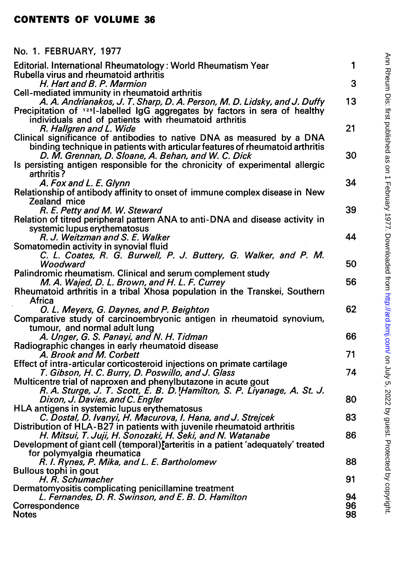## CONTENTS OF VOLUME 36

## No. 1. FEBRUARY, 1977

| Editorial. International Rheumatology: World Rheumatism Year<br>Rubella virus and rheumatoid arthritis                                                                                                        | 1        |
|---------------------------------------------------------------------------------------------------------------------------------------------------------------------------------------------------------------|----------|
| H. Hart and B. P. Marmion                                                                                                                                                                                     | 3        |
| Cell-mediated immunity in rheumatoid arthritis<br>A. A. Andrianakos, J. T. Sharp, D. A. Person, M. D. Lidsky, and J. Duffy                                                                                    | 13       |
| Precipitation of 1251-labelled IgG aggregates by factors in sera of healthy<br>individuals and of patients with rheumatoid arthritis                                                                          |          |
| R. Hallgren and L. Wide                                                                                                                                                                                       | 21       |
| Clinical significance of antibodies to native DNA as measured by a DNA<br>binding technique in patients with articular features of rheumatoid arthritis<br>D. M. Grennan, D. Sloane, A. Behan, and W. C. Dick | 30       |
| Is persisting antigen responsible for the chronicity of experimental allergic<br>arthritis?                                                                                                                   |          |
| A. Fox and L. E. Glynn                                                                                                                                                                                        | 34       |
| Relationship of antibody affinity to onset of immune complex disease in New<br>Zealand mice                                                                                                                   |          |
| R. E. Petty and M. W. Steward                                                                                                                                                                                 | 39       |
| Relation of titred peripheral pattern ANA to anti-DNA and disease activity in<br>systemic lupus erythematosus                                                                                                 |          |
| R. J. Weitzman and S. E. Walker                                                                                                                                                                               | 44       |
| Somatomedin activity in synovial fluid<br>C. L. Coates, R. G. Burwell, P. J. Buttery, G. Walker, and P. M.                                                                                                    |          |
| Woodward                                                                                                                                                                                                      | 50       |
| Palindromic rheumatism. Clinical and serum complement study                                                                                                                                                   | 56       |
| M. A. Wajed, D. L. Brown, and H. L. F. Currey<br>Rheumatoid arthritis in a tribal Xhosa population in the Transkei, Southern                                                                                  |          |
| Africa                                                                                                                                                                                                        |          |
| O. L. Meyers, G. Daynes, and P. Beighton<br>Comparative study of carcinoembryonic antigen in rheumatoid synovium,                                                                                             | 62       |
| tumour, and normal adult lung                                                                                                                                                                                 |          |
| A. Unger, G. S. Panayi, and N. H. Tidman                                                                                                                                                                      | 66       |
| Radiographic changes in early rheumatoid disease                                                                                                                                                              | 71       |
| A. Brook and M. Corbett<br>Effect of intra-articular corticosteroid injections on primate cartilage                                                                                                           |          |
| T. Gibson, H. C. Burry, D. Poswillo, and J. Glass                                                                                                                                                             | 74       |
| Multicentre trial of naproxen and phenylbutazone in acute gout<br>R. A. Sturge, J. T. Scott, E. B. D. Hamilton, S. P. Liyanage, A. St. J.                                                                     |          |
| Dixon, J. Davies, and C. Engler                                                                                                                                                                               | 80       |
| HLA antigens in systemic lupus erythematosus                                                                                                                                                                  |          |
| C. Dostal, D. Ivanyi, H. Macurova, I. Hana, and J. Strejcek<br>Distribution of HLA-B27 in patients with juvenile rheumatoid arthritis                                                                         | 83       |
| H. Mitsui, T. Juji, H. Sonozaki, H. Seki, and N. Watanabe                                                                                                                                                     | 86       |
| Development of giant cell (temporal) arteritis in a patient 'adequately' treated<br>for polymyalgia rheumatica                                                                                                |          |
| R. I. Rynes, P. Mika, and L. E. Bartholomew                                                                                                                                                                   | 88       |
| <b>Bullous tophi in gout</b><br>H. R. Schumacher                                                                                                                                                              | 91       |
| Dermatomyositis complicating penicillamine treatment                                                                                                                                                          |          |
| L. Fernandes, D. R. Swinson, and E. B. D. Hamilton                                                                                                                                                            | 94       |
| Correspondence<br><b>Notes</b>                                                                                                                                                                                | 96<br>98 |
|                                                                                                                                                                                                               |          |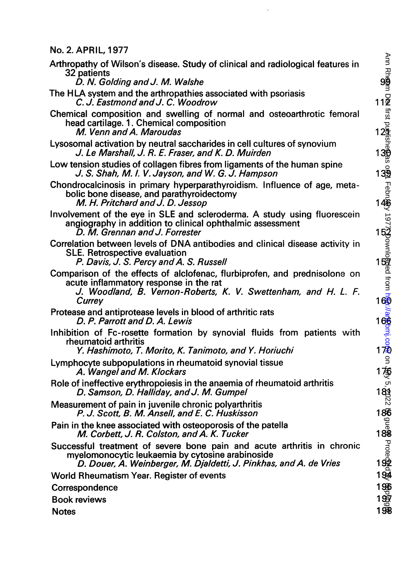No. 2. APRIL, 1977

| V. L. AI IIIL, IV / .                                                                                                                                                                             |                                                                  |
|---------------------------------------------------------------------------------------------------------------------------------------------------------------------------------------------------|------------------------------------------------------------------|
| Arthropathy of Wilson's disease. Study of clinical and radiological features in<br>32 patients                                                                                                    | Ann Rh <b>ea</b> m                                               |
| D. N. Golding and J. M. Walshe                                                                                                                                                                    |                                                                  |
| The HLA system and the arthropathies associated with psoriasis<br>C. J. Eastmond and J. C. Woodrow                                                                                                | $11\overline{2}$                                                 |
| Chemical composition and swelling of normal and osteoarthrotic femoral<br>head cartilage. 1. Chemical composition<br>M. Venn and A. Maroudas                                                      |                                                                  |
| Lysosomal activation by neutral saccharides in cell cultures of synovium<br>J. Le Marshall, J. R. E. Fraser, and K. D. Muirden                                                                    |                                                                  |
| Low tension studies of collagen fibres from ligaments of the human spine<br>J. S. Shah, M. I. V. Jayson, and W. G. J. Hampson                                                                     | $13\frac{6}{2}$                                                  |
| Chondrocalcinosis in primary hyperparathyroidism. Influence of age, meta-<br>bolic bone disease, and parathyroidectomy<br>M. H. Pritchard and J. D. Jessop                                        |                                                                  |
| Involvement of the eye in SLE and scleroderma. A study using fluorescein<br>angiography in addition to clinical ophthalmic assessment<br>D. M. Grennan and J. Forrester                           |                                                                  |
| Correlation between levels of DNA antibodies and clinical disease activity in<br><b>SLE. Retrospective evaluation</b><br>P. Davis, J. S. Percy and A. S. Russell                                  |                                                                  |
| Comparison of the effects of alclofenac, flurbiprofen, and prednisolone on<br>acute inflammatory response in the rat<br>J. Woodland, B. Vernon-Roberts, K. V. Swettenham, and H. L. F.<br>Currey  | Febriggy 1977Spownlopped from hogs//aggbmi.com<br>11<br>11<br>11 |
| Protease and antiprotease levels in blood of arthritic rats<br>D. P. Parrott and D. A. Lewis                                                                                                      |                                                                  |
| Inhibition of Fc-rosette formation by synovial fluids from patients with<br>rheumatoid arthritis<br>Y. Hashimoto, T. Morito, K. Tanimoto, and Y. Horiuchi                                         |                                                                  |
| Lymphocyte subpopulations in rheumatoid synovial tissue<br>A. Wangel and M. Klockars                                                                                                              | $\mathsf{S}$<br>1套                                               |
| Role of ineffective erythropoiesis in the anaemia of rheumatoid arthritis<br>D. Samson, D. Halliday, and J. M. Gumpel                                                                             | $-2.35$                                                          |
| Measurement of pain in juvenile chronic polyarthritis<br>P. J. Scott, B. M. Ansell, and E. C. Huskisson                                                                                           | 186                                                              |
| Pain in the knee associated with osteoporosis of the patella<br>M. Corbett, J. R. Colston, and A. K. Tucker                                                                                       |                                                                  |
| Successful treatment of severe bone pain and acute arthritis in chronic<br>myelomonocytic leukaemia by cytosine arabinoside<br>D. Douer, A. Weinberger, M. Djaldetti, J. Pinkhas, and A. de Vries | 1<br>役ngganud 88an6<br>11                                        |
| World Rheumatism Year. Register of events                                                                                                                                                         |                                                                  |
| Correspondence                                                                                                                                                                                    | 1966<br>1967<br>1968                                             |
| <b>Book reviews</b>                                                                                                                                                                               |                                                                  |
|                                                                                                                                                                                                   |                                                                  |
| <b>Notes</b>                                                                                                                                                                                      |                                                                  |

 $\ddot{\phantom{0}}$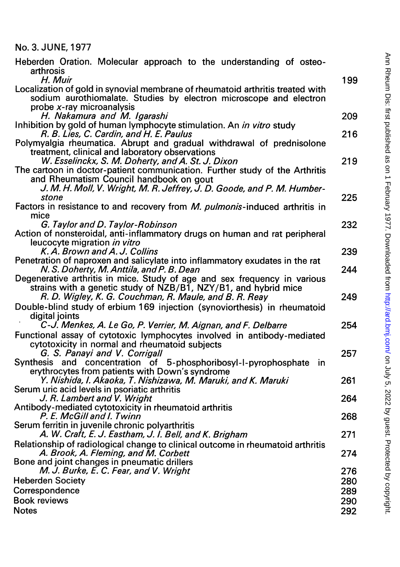|  |  |  |  | No. 3. JUNE, 1977 |  |  |
|--|--|--|--|-------------------|--|--|
|--|--|--|--|-------------------|--|--|

| Heberden Oration. Molecular approach to the understanding of osteo-<br>arthrosis<br>H. Muir                                                                                       | 199        |
|-----------------------------------------------------------------------------------------------------------------------------------------------------------------------------------|------------|
| Localization of gold in synovial membrane of rheumatoid arthritis treated with<br>sodium aurothiomalate. Studies by electron microscope and electron<br>probe x-ray microanalysis |            |
| H. Nakamura and M. Igarashi                                                                                                                                                       | 209        |
| Inhibition by gold of human lymphocyte stimulation. An in vitro study<br>R. B. Lies, C. Cardin, and H. E. Paulus                                                                  | 216        |
| Polymyalgia rheumatica. Abrupt and gradual withdrawal of prednisolone<br>treatment, clinical and laboratory observations                                                          |            |
| W. Esselinckx, S. M. Doherty, and A. St. J. Dixon<br>The cartoon in doctor-patient communication. Further study of the Arthritis                                                  | 219        |
| and Rheumatism Council handbook on gout<br>J. M. H. Moll, V. Wright, M. R. Jeffrey, J. D. Goode, and P. M. Humber-<br>stone                                                       | 225        |
| Factors in resistance to and recovery from <i>M. pulmonis</i> -induced arthritis in                                                                                               |            |
| mice                                                                                                                                                                              |            |
| G. Taylor and D. Taylor-Robinson<br>Action of nonsteroidal, anti-inflammatory drugs on human and rat peripheral<br>leucocyte migration in vitro                                   | 232        |
| K. A. Brown and A. J. Collins                                                                                                                                                     | 239        |
| Penetration of naproxen and salicylate into inflammatory exudates in the rat<br>N. S. Doherty, M. Anttila, and P. B. Dean                                                         | 244        |
| Degenerative arthritis in mice. Study of age and sex frequency in various                                                                                                         |            |
| strains with a genetic study of NZB/B1, NZY/B1, and hybrid mice<br>R. D. Wigley, K. G. Couchman, R. Maule, and B. R. Reay                                                         | 249        |
| Double-blind study of erbium 169 injection (synoviorthesis) in rheumatoid<br>digital joints                                                                                       |            |
| C-J. Menkes, A. Le Go, P. Verrier, M. Aignan, and F. Delbarre                                                                                                                     | 254        |
| Functional assay of cytotoxic lymphocytes involved in antibody-mediated<br>cytotoxicity in normal and rheumatoid subjects                                                         |            |
| G. S. Panayi and V. Corrigall<br>Synthesis and concentration of 5-phosphoribosyl-l-pyrophosphate in                                                                               | 257        |
| erythrocytes from patients with Down's syndrome                                                                                                                                   |            |
| Y. Nishida, I. Akaoka, T. Nishizawa, M. Maruki, and K. Maruki                                                                                                                     | 261        |
| Serum uric acid levels in psoriatic arthritis<br>J. R. Lambert and V. Wright                                                                                                      | 264        |
| Antibody-mediated cytotoxicity in rheumatoid arthritis<br>P. E. McGill and I. Twinn                                                                                               | 268        |
| Serum ferritin in juvenile chronic polyarthritis<br>A. W. Craft, E. J. Eastham, J. I. Bell, and K. Brigham                                                                        | 271        |
| Relationship of radiological change to clinical outcome in rheumatoid arthritis                                                                                                   |            |
| A. Brook, A. Fleming, and M. Corbett<br>Bone and joint changes in pneumatic drillers                                                                                              | 274        |
| M. J. Burke, E. C. Fear, and V. Wright                                                                                                                                            | 276        |
| <b>Heberden Society</b><br>Correspondence                                                                                                                                         | 280<br>289 |
| <b>Book reviews</b>                                                                                                                                                               | 290        |
| <b>Notes</b>                                                                                                                                                                      | 292        |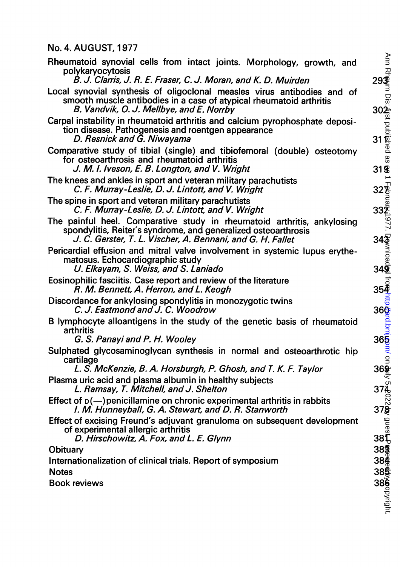## No. 4. AUGUST, 1977

| Rheumatoid synovial cells from intact joints. Morphology, growth, and<br>polykaryocytosis                                                                                                               | Ann<br>$29\frac{1}{3}$     |
|---------------------------------------------------------------------------------------------------------------------------------------------------------------------------------------------------------|----------------------------|
| B. J. Clarris, J. R. E. Fraser, C. J. Moran, and K. D. Muirden                                                                                                                                          |                            |
| Local synovial synthesis of oligoclonal measles virus antibodies and of<br>smooth muscle antibodies in a case of atypical rheumatoid arthritis<br>B. Vandvik, O. J. Mellbye, and E. Norrby              | ں<br>ایون<br>ایون<br>ایون  |
| Carpal instability in rheumatoid arthritis and calcium pyrophosphate deposi-<br>tion disease. Pathogenesis and roentgen appearance<br>D. Resnick and G. Niwayama                                        | $31\frac{1}{9}$            |
| Comparative study of tibial (single) and tibiofemoral (double) osteotomy<br>for osteoarthrosis and rheumatoid arthritis<br>J. M. I. Iveson, E. B. Longton, and V. Wright                                | as<br><b>31g</b>           |
| The knees and ankles in sport and veteran military parachutists<br>C. F. Murray-Leslie, D. J. Lintott, and V. Wright                                                                                    | 32g                        |
| The spine in sport and veteran military parachutists<br>C. F. Murray-Leslie, D. J. Lintott, and V. Wright                                                                                               | 332                        |
| The painful heel. Comparative study in rheumatoid arthritis, ankylosing<br>spondylitis, Reiter's syndrome, and generalized osteoarthrosis<br>J. C. Gerster, T. L. Vischer, A. Bennani, and G. H. Fallet | 97<br>$34\frac{5}{2}$      |
| Pericardial effusion and mitral valve involvement in systemic lupus erythe-<br>matosus. Echocardiographic study<br>U. Elkayam, S. Weiss, and S. Laniado                                                 | 34 <sub>2</sub>            |
| Eosinophilic fasciitis. Case report and review of the literature<br>R. M. Bennett, A. Herron, and L. Keogh                                                                                              | $35\bar{4}$                |
| Discordance for ankylosing spondylitis in monozygotic twins<br>C. J. Eastmond and J. C. Woodrow                                                                                                         | 36 <sup>6</sup>            |
| B lymphocyte alloantigens in the study of the genetic basis of rheumatoid<br>arthritis                                                                                                                  |                            |
| G. S. Panayi and P. H. Wooley                                                                                                                                                                           | $36\overline{5}$           |
| Sulphated glycosaminoglycan synthesis in normal and osteoarthrotic hip<br>cartilage                                                                                                                     |                            |
| L. S. McKenzie, B. A. Horsburgh, P. Ghosh, and T. K. F. Taylor                                                                                                                                          | $36\frac{9}{5}$            |
| Plasma uric acid and plasma albumin in healthy subjects<br>L. Ramsay, T. Mitchell, and J. Shelton                                                                                                       | 374                        |
| Effect of $p(-)$ penicillamine on chronic experimental arthritis in rabbits<br>I. M. Hunneyball, G. A. Stewart, and D. R. Stanworth                                                                     | 37§                        |
| Effect of excising Freund's adjuvant granuloma on subsequent development<br>of experimental allergic arthritis<br>D. Hirschowitz, A. Fox, and L. E. Glynn                                               | $38\frac{6}{10}$           |
| <b>Obituary</b>                                                                                                                                                                                         | 38 <b>®</b>                |
| Internationalization of clinical trials. Report of symposium                                                                                                                                            | $38\frac{3}{5}$            |
| <b>Notes</b>                                                                                                                                                                                            | 38§                        |
| <b>Book reviews</b>                                                                                                                                                                                     |                            |
|                                                                                                                                                                                                         | <b>386</b><br>Machovingut: |
|                                                                                                                                                                                                         |                            |
|                                                                                                                                                                                                         |                            |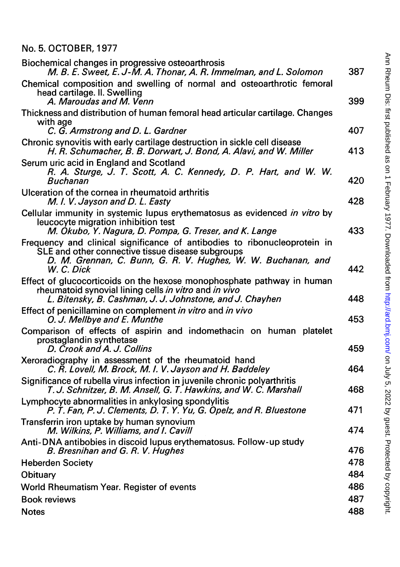## No. 5. OCTOBER, 1977

| Biochemical changes in progressive osteoarthrosis<br>M. B. E. Sweet, E. J-M. A. Thonar, A. R. Immelman, and L. Solomon                                                                                       | 387 |
|--------------------------------------------------------------------------------------------------------------------------------------------------------------------------------------------------------------|-----|
| Chemical composition and swelling of normal and osteoarthrotic femoral<br>head cartilage. II. Swelling<br>A. Maroudas and M. Venn                                                                            | 399 |
| Thickness and distribution of human femoral head articular cartilage. Changes<br>with age                                                                                                                    | 407 |
| C. G. Armstrong and D. L. Gardner<br>Chronic synovitis with early cartilage destruction in sickle cell disease<br>H. R. Schumacher, B. B. Dorwart, J. Bond, A. Alavi, and W. Miller                          | 413 |
| Serum uric acid in England and Scotland<br>R. A. Sturge, J. T. Scott, A. C. Kennedy, D. P. Hart, and W. W.<br><b>Buchanan</b>                                                                                | 420 |
| Ulceration of the cornea in rheumatoid arthritis<br>M. I. V. Jayson and D. L. Easty                                                                                                                          | 428 |
| Cellular immunity in systemic lupus erythematosus as evidenced in vitro by<br>leucocyte migration inhibition test<br>M. Okubo, Y. Nagura, D. Pompa, G. Treser, and K. Lange                                  | 433 |
| Frequency and clinical significance of antibodies to ribonucleoprotein in<br>SLE and other connective tissue disease subgroups<br>D. M. Grennan, C. Bunn, G. R. V. Hughes, W. W. Buchanan, and<br>W. C. Dick | 442 |
| Effect of glucocorticoids on the hexose monophosphate pathway in human<br>rheumatoid synovial lining cells in vitro and in vivo<br>L. Bitensky, B. Cashman, J. J. Johnstone, and J. Chayhen                  | 448 |
| Effect of penicillamine on complement in vitro and in vivo<br>O. J. Mellbye and E. Munthe                                                                                                                    | 453 |
| Comparison of effects of aspirin and indomethacin on human platelet<br>prostaglandin synthetase<br>D. Crook and A. J. Collins                                                                                | 459 |
| Xeroradiography in assessment of the rheumatoid hand<br>C. R. Lovell, M. Brock, M. I. V. Jayson and H. Baddeley                                                                                              | 464 |
| Significance of rubella virus infection in juvenile chronic polyarthritis<br>T. J. Schnitzer, B. M. Ansell, G. T. Hawkins, and W. C. Marshall                                                                | 468 |
| Lymphocyte abnormalities in ankylosing spondylitis<br>P. T. Fan, P. J. Clements, D. T. Y. Yu, G. Opelz, and R. Bluestone                                                                                     | 471 |
| Transferrin iron uptake by human synovium<br>M. Wilkins, P. Williams, and I. Cavill                                                                                                                          | 474 |
| Anti-DNA antibobies in discoid lupus erythematosus. Follow-up study<br>B. Bresnihan and G. R. V. Hughes                                                                                                      | 476 |
| <b>Heberden Society</b>                                                                                                                                                                                      | 478 |
| Obituary                                                                                                                                                                                                     | 484 |
| World Rheumatism Year. Register of events                                                                                                                                                                    | 486 |
| <b>Book reviews</b>                                                                                                                                                                                          | 487 |
| <b>Notes</b>                                                                                                                                                                                                 | 488 |